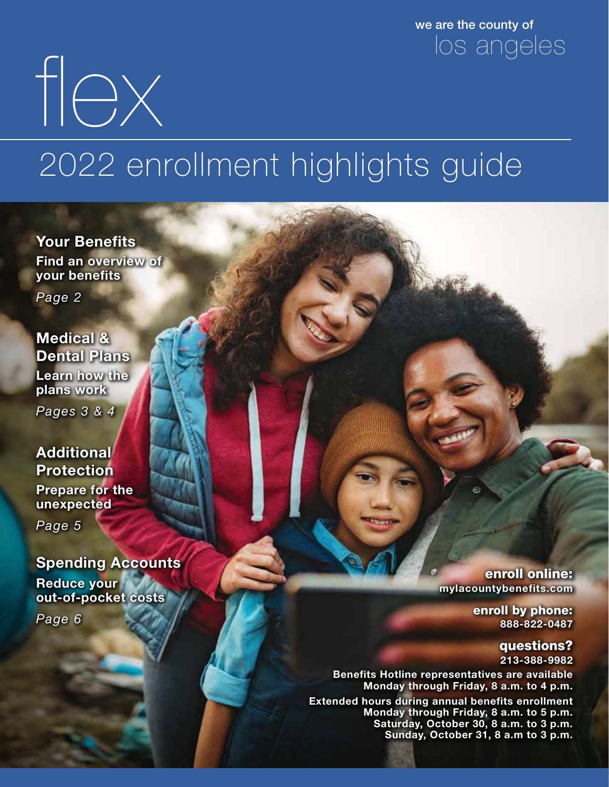we are the county of los angeles

2022 enrollment highlights guide

Your Benefits Find an overview of your benefits

flex

*Page 2*

Medical & Dental Plans Learn how the plans work

*Pages 3 & 4*

### **Additional** Protection

Prepare for the unexpected

*Page 5*

### Spending Accounts

Reduce your out-of-pocket costs

*Page 6*

enroll online: mylacountybenefits.com

> enroll by phone: 888-822-0487

> > questions? 213-388-9982

Benefits Hotline representatives are available Monday through Friday, 8 a.m. to 4 p.m.

Extended hours during annual benefits enrollment Monday through Friday, 8 a.m. to 5 p.m. Saturday, October 30, 8 a.m. to 3 p.m. Sunday, October 31, 8 a.m to 3 p.m.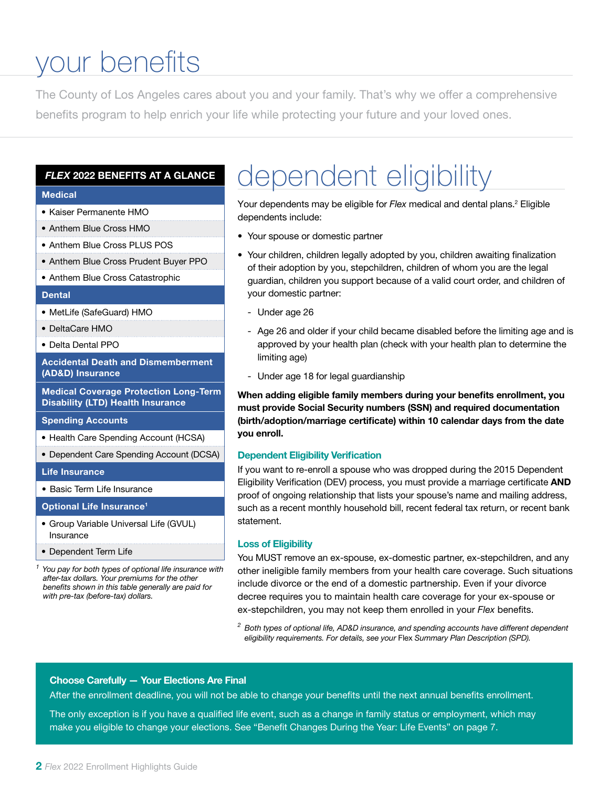## your benefits

The County of Los Angeles cares about you and your family. That's why we offer a comprehensive benefits program to help enrich your life while protecting your future and your loved ones.

#### *FLEX* 2022 BENEFITS AT A GLANCE

#### Medical

- Kaiser Permanente HMO
- Anthem Blue Cross HMO
- Anthem Blue Cross PLUS POS
- Anthem Blue Cross Prudent Buyer PPO
- Anthem Blue Cross Catastrophic

#### **Dental**

- MetLife (SafeGuard) HMO
- DeltaCare HMO
- Delta Dental PPO

Accidental Death and Dismemberment (AD&D) Insurance

Medical Coverage Protection Long-Term Disability (LTD) Health Insurance

#### Spending Accounts

- Health Care Spending Account (HCSA)
- Dependent Care Spending Account (DCSA)

#### Life Insurance

• Basic Term Life Insurance

Optional Life Insurance1

- Group Variable Universal Life (GVUL) Insurance
- Dependent Term Life

*1 You pay for both types of optional life insurance with after-tax dollars. Your premiums for the other benefits shown in this table generally are paid for with pre-tax (before-tax) dollars.*

### dependent eligibility

Your dependents may be eligible for *Flex* medical and dental plans.<sup>2</sup> Eligible dependents include:

- Your spouse or domestic partner
- Your children, children legally adopted by you, children awaiting finalization of their adoption by you, stepchildren, children of whom you are the legal guardian, children you support because of a valid court order, and children of your domestic partner:
	- Under age 26
	- Age 26 and older if your child became disabled before the limiting age and is approved by your health plan (check with your health plan to determine the limiting age)
	- Under age 18 for legal guardianship

When adding eligible family members during your benefits enrollment, you must provide Social Security numbers (SSN) and required documentation (birth/adoption/marriage certificate) within 10 calendar days from the date you enroll.

#### Dependent Eligibility Verification

If you want to re-enroll a spouse who was dropped during the 2015 Dependent Eligibility Verification (DEV) process, you must provide a marriage certificate AND proof of ongoing relationship that lists your spouse's name and mailing address, such as a recent monthly household bill, recent federal tax return, or recent bank statement.

#### Loss of Eligibility

You MUST remove an ex-spouse, ex-domestic partner, ex-stepchildren, and any other ineligible family members from your health care coverage. Such situations include divorce or the end of a domestic partnership. Even if your divorce decree requires you to maintain health care coverage for your ex-spouse or ex-stepchildren, you may not keep them enrolled in your *Flex* benefits.

*<sup>2</sup> Both types of optional life, AD&D insurance, and spending accounts have different dependent eligibility requirements. For details, see your* Flex *Summary Plan Description (SPD).*

#### Choose Carefully — Your Elections Are Final

After the enrollment deadline, you will not be able to change your benefits until the next annual benefits enrollment.

The only exception is if you have a qualified life event, such as a change in family status or employment, which may make you eligible to change your elections. See "Benefit Changes During the Year: Life Events" on page 7.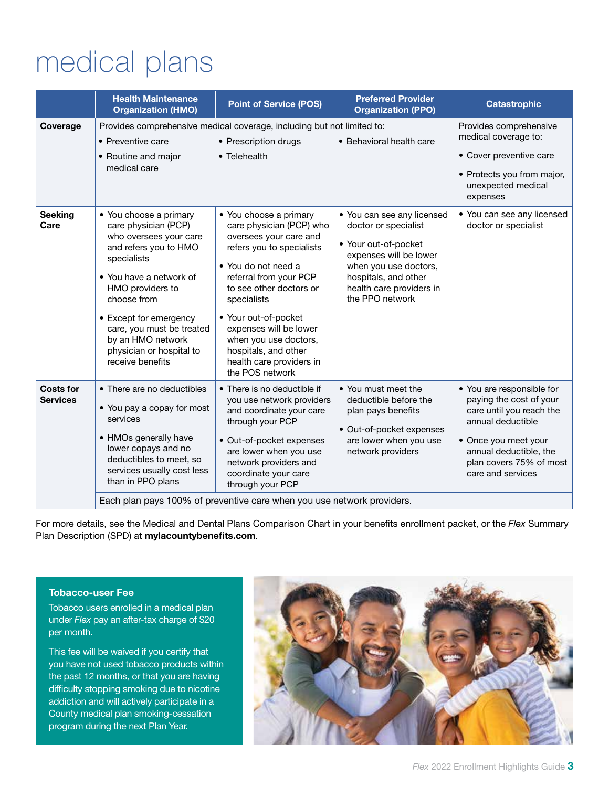# medical plans

|                                     | <b>Health Maintenance</b><br><b>Organization (HMO)</b>                                                                                                                                                                                                                                                     | <b>Point of Service (POS)</b>                                                                                                                                                                                                                                                                                                                          | <b>Preferred Provider</b><br><b>Organization (PPO)</b>                                                                                                                                               | <b>Catastrophic</b>                                                                                                                                                                                     |  |
|-------------------------------------|------------------------------------------------------------------------------------------------------------------------------------------------------------------------------------------------------------------------------------------------------------------------------------------------------------|--------------------------------------------------------------------------------------------------------------------------------------------------------------------------------------------------------------------------------------------------------------------------------------------------------------------------------------------------------|------------------------------------------------------------------------------------------------------------------------------------------------------------------------------------------------------|---------------------------------------------------------------------------------------------------------------------------------------------------------------------------------------------------------|--|
| Coverage                            | • Preventive care<br>• Routine and major<br>medical care                                                                                                                                                                                                                                                   | Provides comprehensive medical coverage, including but not limited to:<br>• Prescription drugs<br>• Telehealth                                                                                                                                                                                                                                         | • Behavioral health care                                                                                                                                                                             | Provides comprehensive<br>medical coverage to:<br>• Cover preventive care<br>• Protects you from major,<br>unexpected medical<br>expenses                                                               |  |
| <b>Seeking</b><br>Care              | • You choose a primary<br>care physician (PCP)<br>who oversees your care<br>and refers you to HMO<br>specialists<br>• You have a network of<br>HMO providers to<br>choose from<br>• Except for emergency<br>care, you must be treated<br>by an HMO network<br>physician or hospital to<br>receive benefits | • You choose a primary<br>care physician (PCP) who<br>oversees your care and<br>refers you to specialists<br>• You do not need a<br>referral from your PCP<br>to see other doctors or<br>specialists<br>• Your out-of-pocket<br>expenses will be lower<br>when you use doctors,<br>hospitals, and other<br>health care providers in<br>the POS network | • You can see any licensed<br>doctor or specialist<br>• Your out-of-pocket<br>expenses will be lower<br>when you use doctors,<br>hospitals, and other<br>health care providers in<br>the PPO network | • You can see any licensed<br>doctor or specialist                                                                                                                                                      |  |
| <b>Costs for</b><br><b>Services</b> | • There are no deductibles<br>• You pay a copay for most<br>services<br>• HMOs generally have<br>lower copays and no<br>deductibles to meet, so<br>services usually cost less<br>than in PPO plans                                                                                                         | • There is no deductible if<br>you use network providers<br>and coordinate your care<br>through your PCP<br>· Out-of-pocket expenses<br>are lower when you use<br>network providers and<br>coordinate your care<br>through your PCP                                                                                                                    | • You must meet the<br>deductible before the<br>plan pays benefits<br>• Out-of-pocket expenses<br>are lower when you use<br>network providers                                                        | • You are responsible for<br>paying the cost of your<br>care until you reach the<br>annual deductible<br>• Once you meet your<br>annual deductible, the<br>plan covers 75% of most<br>care and services |  |
|                                     | Each plan pays 100% of preventive care when you use network providers.                                                                                                                                                                                                                                     |                                                                                                                                                                                                                                                                                                                                                        |                                                                                                                                                                                                      |                                                                                                                                                                                                         |  |

For more details, see the Medical and Dental Plans Comparison Chart in your benefits enrollment packet, or the *Flex* Summary Plan Description (SPD) at mylacountybenefits.com.

#### Tobacco-user Fee

Tobacco users enrolled in a medical plan under *Flex* pay an after-tax charge of \$20 per month.

This fee will be waived if you certify that you have not used tobacco products within the past 12 months, or that you are having difficulty stopping smoking due to nicotine addiction and will actively participate in a County medical plan smoking-cessation program during the next Plan Year.

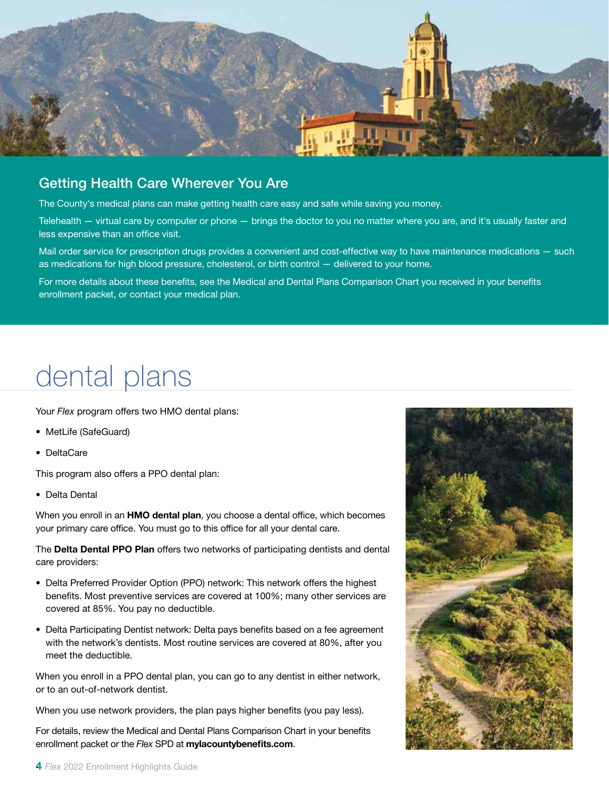

### Getting Health Care Wherever You Are

The County's medical plans can make getting health care easy and safe while saving you money.

Telehealth — virtual care by computer or phone — brings the doctor to you no matter where you are, and it's usually faster and less expensive than an office visit.

Mail order service for prescription drugs provides a convenient and cost-effective way to have maintenance medications — such as medications for high blood pressure, cholesterol, or birth control — delivered to your home.

For more details about these benefits, see the Medical and Dental Plans Comparison Chart you received in your benefits enrollment packet, or contact your medical plan.

### dental plans

Your *Flex* program offers two HMO dental plans:

- MetLife (SafeGuard)
- DeltaCare

This program also offers a PPO dental plan:

• Delta Dental

When you enroll in an **HMO dental plan**, you choose a dental office, which becomes your primary care office. You must go to this office for all your dental care.

The Delta Dental PPO Plan offers two networks of participating dentists and dental care providers:

- Delta Preferred Provider Option (PPO) network: This network offers the highest benefits. Most preventive services are covered at 100%; many other services are covered at 85%. You pay no deductible.
- Delta Participating Dentist network: Delta pays benefits based on a fee agreement with the network's dentists. Most routine services are covered at 80%, after you meet the deductible.

When you enroll in a PPO dental plan, you can go to any dentist in either network, or to an out-of-network dentist.

When you use network providers, the plan pays higher benefits (you pay less).

For details, review the Medical and Dental Plans Comparison Chart in your benefits enrollment packet or the *Flex* SPD at mylacountybenefits.com.

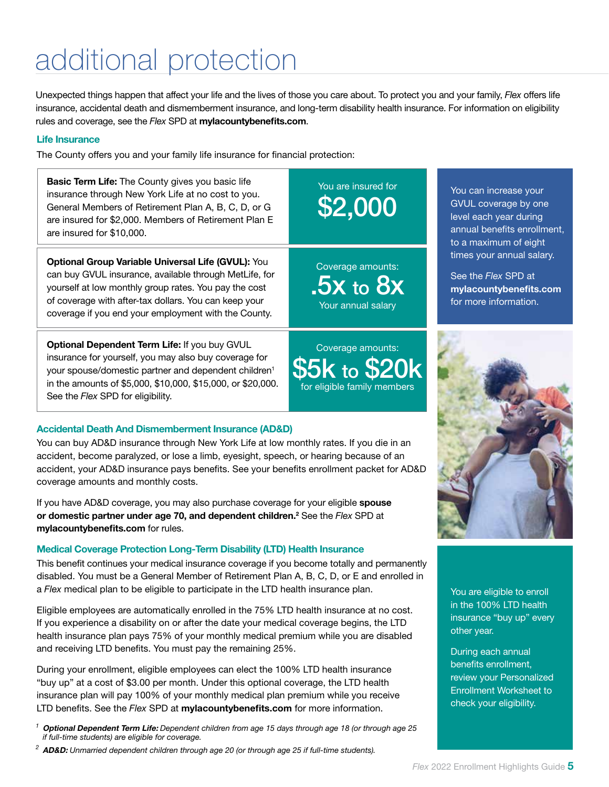# additional protection

Unexpected things happen that affect your life and the lives of those you care about. To protect you and your family, *Flex* offers life insurance, accidental death and dismemberment insurance, and long-term disability health insurance. For information on eligibility rules and coverage, see the *Flex* SPD at mylacountybenefits.com.

#### Life Insurance

The County offers you and your family life insurance for financial protection:

**Basic Term Life:** The County gives you basic life insurance through New York Life at no cost to you. General Members of Retirement Plan A, B, C, D, or G are insured for \$2,000. Members of Retirement Plan E are insured for \$10,000.

Optional Group Variable Universal Life (GVUL): You can buy GVUL insurance, available through MetLife, for yourself at low monthly group rates. You pay the cost of coverage with after-tax dollars. You can keep your coverage if you end your employment with the County.

Optional Dependent Term Life: If you buy GVUL insurance for yourself, you may also buy coverage for your spouse/domestic partner and dependent children1 in the amounts of \$5,000, \$10,000, \$15,000, or \$20,000. See the *Flex* SPD for eligibility.

#### Accidental Death And Dismemberment Insurance (AD&D)

You can buy AD&D insurance through New York Life at low monthly rates. If you die in an accident, become paralyzed, or lose a limb, eyesight, speech, or hearing because of an accident, your AD&D insurance pays benefits. See your benefits enrollment packet for AD&D coverage amounts and monthly costs.

If you have AD&D coverage, you may also purchase coverage for your eligible spouse or domestic partner under age 70, and dependent children.<sup>2</sup> See the Flex SPD at mylacountybenefits.com for rules.

#### Medical Coverage Protection Long-Term Disability (LTD) Health Insurance

This benefit continues your medical insurance coverage if you become totally and permanently disabled. You must be a General Member of Retirement Plan A, B, C, D, or E and enrolled in a *Flex* medical plan to be eligible to participate in the LTD health insurance plan.

Eligible employees are automatically enrolled in the 75% LTD health insurance at no cost. If you experience a disability on or after the date your medical coverage begins, the LTD health insurance plan pays 75% of your monthly medical premium while you are disabled and receiving LTD benefits. You must pay the remaining 25%.

During your enrollment, eligible employees can elect the 100% LTD health insurance "buy up" at a cost of \$3.00 per month. Under this optional coverage, the LTD health insurance plan will pay 100% of your monthly medical plan premium while you receive LTD benefits. See the *Flex* SPD at mylacountybenefits.com for more information.

- *<sup>1</sup>* Optional Dependent Term Life: *Dependent children from age 15 days through age 18 (or through age 25 if full-time students) are eligible for coverage.*
- *<sup>2</sup>* AD&D: *Unmarried dependent children through age 20 (or through age 25 if full-time students).*

### \$2,000 You are insured for

.5x to 8x Coverage amounts: Your annual salary

to  $$2$ Coverage amounts: for eligible family members You can increase your GVUL coverage by one level each year during annual benefits enrollment, to a maximum of eight times your annual salary.

See the *Flex* SPD at mylacountybenefits.com for more information.



You are eligible to enroll in the 100% LTD health insurance "buy up" every other year.

During each annual benefits enrollment, review your Personalized Enrollment Worksheet to check your eligibility.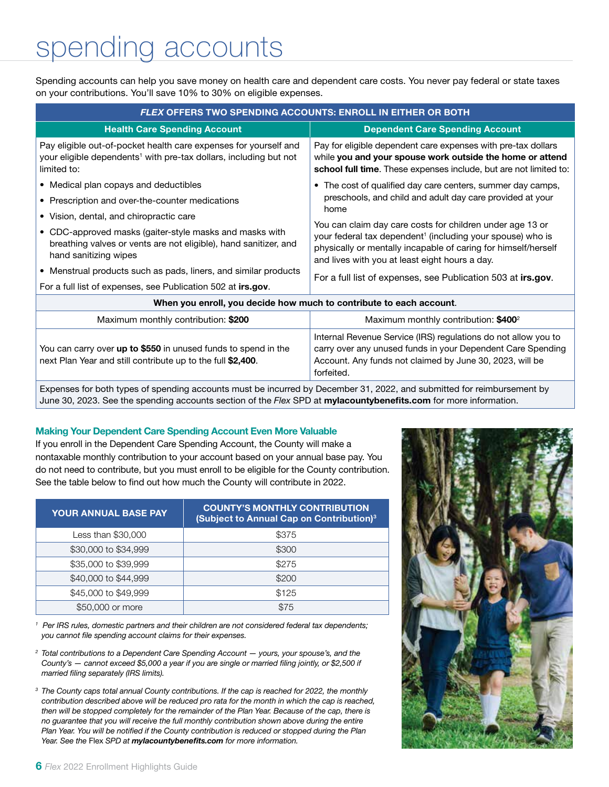## spending accounts

Spending accounts can help you save money on health care and dependent care costs. You never pay federal or state taxes on your contributions. You'll save 10% to 30% on eligible expenses.

| <b>FLEX OFFERS TWO SPENDING ACCOUNTS: ENROLL IN EITHER OR BOTH</b>                                                                                               |                                                                                                                                                                                                                                                                 |  |  |  |  |  |
|------------------------------------------------------------------------------------------------------------------------------------------------------------------|-----------------------------------------------------------------------------------------------------------------------------------------------------------------------------------------------------------------------------------------------------------------|--|--|--|--|--|
| <b>Health Care Spending Account</b>                                                                                                                              | <b>Dependent Care Spending Account</b>                                                                                                                                                                                                                          |  |  |  |  |  |
| Pay eligible out-of-pocket health care expenses for yourself and<br>your eligible dependents <sup>1</sup> with pre-tax dollars, including but not<br>limited to: | Pay for eligible dependent care expenses with pre-tax dollars<br>while you and your spouse work outside the home or attend<br>school full time. These expenses include, but are not limited to:                                                                 |  |  |  |  |  |
| • Medical plan copays and deductibles                                                                                                                            | • The cost of qualified day care centers, summer day camps,                                                                                                                                                                                                     |  |  |  |  |  |
| • Prescription and over-the-counter medications                                                                                                                  | preschools, and child and adult day care provided at your                                                                                                                                                                                                       |  |  |  |  |  |
| • Vision, dental, and chiropractic care                                                                                                                          | home<br>You can claim day care costs for children under age 13 or<br>your federal tax dependent <sup>1</sup> (including your spouse) who is<br>physically or mentally incapable of caring for himself/herself<br>and lives with you at least eight hours a day. |  |  |  |  |  |
| • CDC-approved masks (gaiter-style masks and masks with<br>breathing valves or vents are not eligible), hand sanitizer, and<br>hand sanitizing wipes             |                                                                                                                                                                                                                                                                 |  |  |  |  |  |
| • Menstrual products such as pads, liners, and similar products                                                                                                  | For a full list of expenses, see Publication 503 at irs.gov.                                                                                                                                                                                                    |  |  |  |  |  |
| For a full list of expenses, see Publication 502 at irs.gov.                                                                                                     |                                                                                                                                                                                                                                                                 |  |  |  |  |  |
| When you enroll, you decide how much to contribute to each account.                                                                                              |                                                                                                                                                                                                                                                                 |  |  |  |  |  |
| Maximum monthly contribution: \$200                                                                                                                              | Maximum monthly contribution: \$400 <sup>2</sup>                                                                                                                                                                                                                |  |  |  |  |  |
| You can carry over up to \$550 in unused funds to spend in the<br>next Plan Year and still contribute up to the full \$2,400.                                    | Internal Revenue Service (IRS) regulations do not allow you to<br>carry over any unused funds in your Dependent Care Spending<br>Account. Any funds not claimed by June 30, 2023, will be<br>forfeited.                                                         |  |  |  |  |  |

Expenses for both types of spending accounts must be incurred by December 31, 2022, and submitted for reimbursement by June 30, 2023. See the spending accounts section of the *Flex* SPD at mylacountybenefits.com for more information.

#### Making Your Dependent Care Spending Account Even More Valuable

If you enroll in the Dependent Care Spending Account, the County will make a nontaxable monthly contribution to your account based on your annual base pay. You do not need to contribute, but you must enroll to be eligible for the County contribution. See the table below to find out how much the County will contribute in 2022.

| <b>YOUR ANNUAL BASE PAY</b> | <b>COUNTY'S MONTHLY CONTRIBUTION</b><br>(Subject to Annual Cap on Contribution) <sup>3</sup> |
|-----------------------------|----------------------------------------------------------------------------------------------|
| Less than \$30,000          | \$375                                                                                        |
| \$30,000 to \$34,999        | \$300                                                                                        |
| \$35,000 to \$39,999        | \$275                                                                                        |
| \$40,000 to \$44,999        | \$200                                                                                        |
| \$45,000 to \$49,999        | \$125                                                                                        |
| \$50,000 or more            | \$75                                                                                         |

*<sup>1</sup> Per IRS rules, domestic partners and their children are not considered federal tax dependents; you cannot file spending account claims for their expenses.*

*<sup>2</sup> Total contributions to a Dependent Care Spending Account — yours, your spouse's, and the County's — cannot exceed \$5,000 a year if you are single or married filing jointly, or \$2,500 if married filing separately (IRS limits).*

*<sup>3</sup> The County caps total annual County contributions. If the cap is reached for 2022, the monthly contribution described above will be reduced pro rata for the month in which the cap is reached, then will be stopped completely for the remainder of the Plan Year. Because of the cap, there is no guarantee that you will receive the full monthly contribution shown above during the entire Plan Year. You will be notified if the County contribution is reduced or stopped during the Plan Year. See the* Flex *SPD at mylacountybenefits.com for more information.* 

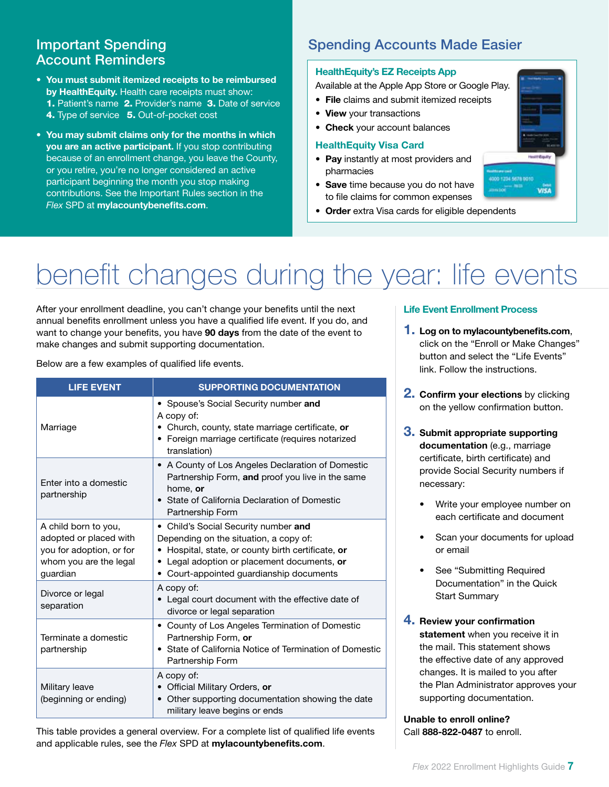### Account Reminders

- You must submit itemized receipts to be reimbursed by HealthEquity. Health care receipts must show: 1. Patient's name 2. Provider's name 3. Date of service 4. Type of service 5. Out-of-pocket cost
- You may submit claims only for the months in which you are an active participant. If you stop contributing because of an enrollment change, you leave the County, or you retire, you're no longer considered an active participant beginning the month you stop making contributions. See the Important Rules section in the *Flex* SPD at mylacountybenefits.com.

### **Important Spending Community Spending Accounts Made Easier**

#### HealthEquity's EZ Receipts App

Available at the Apple App Store or Google Play.

- File claims and submit itemized receipts
- View your transactions

#### • Check your account balances

#### HealthEquity Visa Card

- Pay instantly at most providers and pharmacies
- Save time because you do not have to file claims for common expenses
- Order extra Visa cards for eligible dependents

# benefit changes during the year: life events

After your enrollment deadline, you can't change your benefits until the next annual benefits enrollment unless you have a qualified life event. If you do, and want to change your benefits, you have 90 days from the date of the event to make changes and submit supporting documentation.

Below are a few examples of qualified life events.

| <b>LIFE EVENT</b>                                                                                                | <b>SUPPORTING DOCUMENTATION</b>                                                                                                                                                                                                          |  |  |
|------------------------------------------------------------------------------------------------------------------|------------------------------------------------------------------------------------------------------------------------------------------------------------------------------------------------------------------------------------------|--|--|
| Marriage                                                                                                         | • Spouse's Social Security number and<br>A copy of:<br>• Church, county, state marriage certificate, or<br>• Foreign marriage certificate (requires notarized<br>translation)                                                            |  |  |
| Enter into a domestic<br>partnership                                                                             | • A County of Los Angeles Declaration of Domestic<br>Partnership Form, and proof you live in the same<br>home, or<br>• State of California Declaration of Domestic<br>Partnership Form                                                   |  |  |
| A child born to you,<br>adopted or placed with<br>you for adoption, or for<br>whom you are the legal<br>guardian | Child's Social Security number and<br>Depending on the situation, a copy of:<br>• Hospital, state, or county birth certificate, or<br>• Legal adoption or placement documents, or<br>Court-appointed guardianship documents<br>$\bullet$ |  |  |
| Divorce or legal<br>separation                                                                                   | A copy of:<br>Legal court document with the effective date of<br>divorce or legal separation                                                                                                                                             |  |  |
| Terminate a domestic<br>partnership                                                                              | County of Los Angeles Termination of Domestic<br>$\bullet$<br>Partnership Form, or<br>State of California Notice of Termination of Domestic<br>Partnership Form                                                                          |  |  |
| Military leave<br>(beginning or ending)                                                                          | A copy of:<br>Official Military Orders, or<br>Other supporting documentation showing the date<br>$\bullet$<br>military leave begins or ends                                                                                              |  |  |

This table provides a general overview. For a complete list of qualified life events and applicable rules, see the *Flex* SPD at mylacountybenefits.com.

#### Life Event Enrollment Process

- **1.** Log on to mylacountybenefits.com, click on the "Enroll or Make Changes" button and select the "Life Events" link. Follow the instructions.
- **2. Confirm your elections** by clicking on the yellow confirmation button.
- 3. Submit appropriate supporting documentation (e.g., marriage certificate, birth certificate) and provide Social Security numbers if necessary:
	- Write your employee number on each certificate and document
	- Scan your documents for upload or email
	- See "Submitting Required Documentation" in the Quick Start Summary
- 4. Review your confirmation statement when you receive it in the mail. This statement shows the effective date of any approved changes. It is mailed to you after the Plan Administrator approves your supporting documentation.

Unable to enroll online? Call 888-822-0487 to enroll.